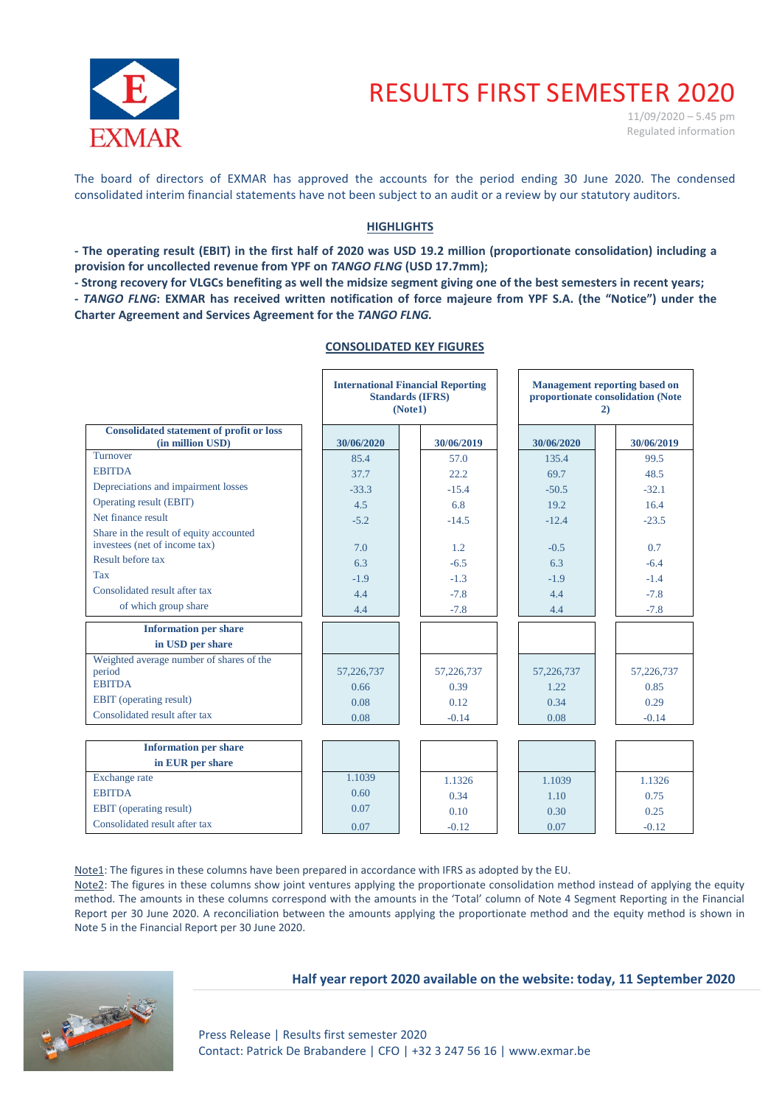

# RESULTS FIRST SEMESTER 2020

 $11/09/2020 - 5.45$  pm Regulated information

The board of directors of EXMAR has approved the accounts for the period ending 30 June 2020. The condensed consolidated interim financial statements have not been subject to an audit or a review by our statutory auditors.

## **HIGHLIGHTS**

**- The operating result (EBIT) in the first half of 2020 was USD 19.2 million (proportionate consolidation) including a provision for uncollected revenue from YPF on** *TANGO FLNG* **(USD 17.7mm);**

**- Strong recovery for VLGCs benefiting as well the midsize segment giving one of the best semesters in recent years;**

**-** *TANGO FLNG***: EXMAR has received written notification of force majeure from YPF S.A. (the "Notice") under the Charter Agreement and Services Agreement for the** *TANGO FLNG.*

#### **CONSOLIDATED KEY FIGURES**

|                                                                     |            | <b>International Financial Reporting</b><br><b>Standards (IFRS)</b><br>(Note1) | <b>Management reporting based on</b><br>proportionate consolidation (Note<br>2) |  |            |  |  |
|---------------------------------------------------------------------|------------|--------------------------------------------------------------------------------|---------------------------------------------------------------------------------|--|------------|--|--|
| <b>Consolidated statement of profit or loss</b><br>(in million USD) | 30/06/2020 | 30/06/2019                                                                     | 30/06/2020                                                                      |  | 30/06/2019 |  |  |
| Turnover                                                            | 85.4       | 57.0                                                                           | 135.4                                                                           |  | 99.5       |  |  |
| <b>EBITDA</b>                                                       | 37.7       | 22.2                                                                           | 69.7                                                                            |  | 48.5       |  |  |
| Depreciations and impairment losses                                 | $-33.3$    | $-15.4$                                                                        | $-50.5$                                                                         |  | $-32.1$    |  |  |
| Operating result (EBIT)                                             | 4.5        | 6.8                                                                            | 19.2                                                                            |  | 16.4       |  |  |
| Net finance result                                                  | $-5.2$     | $-14.5$                                                                        | $-12.4$                                                                         |  | $-23.5$    |  |  |
| Share in the result of equity accounted                             |            |                                                                                |                                                                                 |  |            |  |  |
| investees (net of income tax)                                       | 7.0        | 1.2                                                                            | $-0.5$                                                                          |  | 0.7        |  |  |
| Result before tax                                                   | 6.3        | $-6.5$                                                                         | 6.3                                                                             |  | $-6.4$     |  |  |
| <b>Tax</b>                                                          | $-1.9$     | $-1.3$                                                                         | $-1.9$                                                                          |  | $-1.4$     |  |  |
| Consolidated result after tax                                       | 4.4        | $-7.8$                                                                         | 4.4                                                                             |  | $-7.8$     |  |  |
| of which group share                                                | 4.4        | $-7.8$                                                                         | 4.4                                                                             |  | $-7.8$     |  |  |
| <b>Information per share</b>                                        |            |                                                                                |                                                                                 |  |            |  |  |
| in USD per share                                                    |            |                                                                                |                                                                                 |  |            |  |  |
| Weighted average number of shares of the                            |            |                                                                                |                                                                                 |  |            |  |  |
| period                                                              | 57,226,737 | 57,226,737                                                                     | 57,226,737                                                                      |  | 57,226,737 |  |  |
| <b>EBITDA</b>                                                       | 0.66       | 0.39                                                                           | 1.22                                                                            |  | 0.85       |  |  |
| <b>EBIT</b> (operating result)<br>Consolidated result after tax     | 0.08       | 0.12                                                                           | 0.34                                                                            |  | 0.29       |  |  |
|                                                                     | 0.08       | $-0.14$                                                                        | 0.08                                                                            |  | $-0.14$    |  |  |
|                                                                     |            |                                                                                |                                                                                 |  |            |  |  |
| <b>Information per share</b>                                        |            |                                                                                |                                                                                 |  |            |  |  |
| in EUR per share                                                    |            |                                                                                |                                                                                 |  |            |  |  |
| Exchange rate                                                       | 1.1039     | 1.1326                                                                         | 1.1039                                                                          |  | 1.1326     |  |  |
| <b>EBITDA</b>                                                       | 0.60       | 0.34                                                                           | 1.10                                                                            |  | 0.75       |  |  |
| <b>EBIT</b> (operating result)                                      | 0.07       | 0.10                                                                           | 0.30                                                                            |  | 0.25       |  |  |
| Consolidated result after tax                                       | 0.07       | $-0.12$                                                                        | 0.07                                                                            |  | $-0.12$    |  |  |

Note1: The figures in these columns have been prepared in accordance with IFRS as adopted by the EU.

Note2: The figures in these columns show joint ventures applying the proportionate consolidation method instead of applying the equity method. The amounts in these columns correspond with the amounts in the 'Total' column of Note 4 Segment Reporting in the Financial Report per 30 June 2020. A reconciliation between the amounts applying the proportionate method and the equity method is shown in Note 5 in the Financial Report per 30 June 2020.

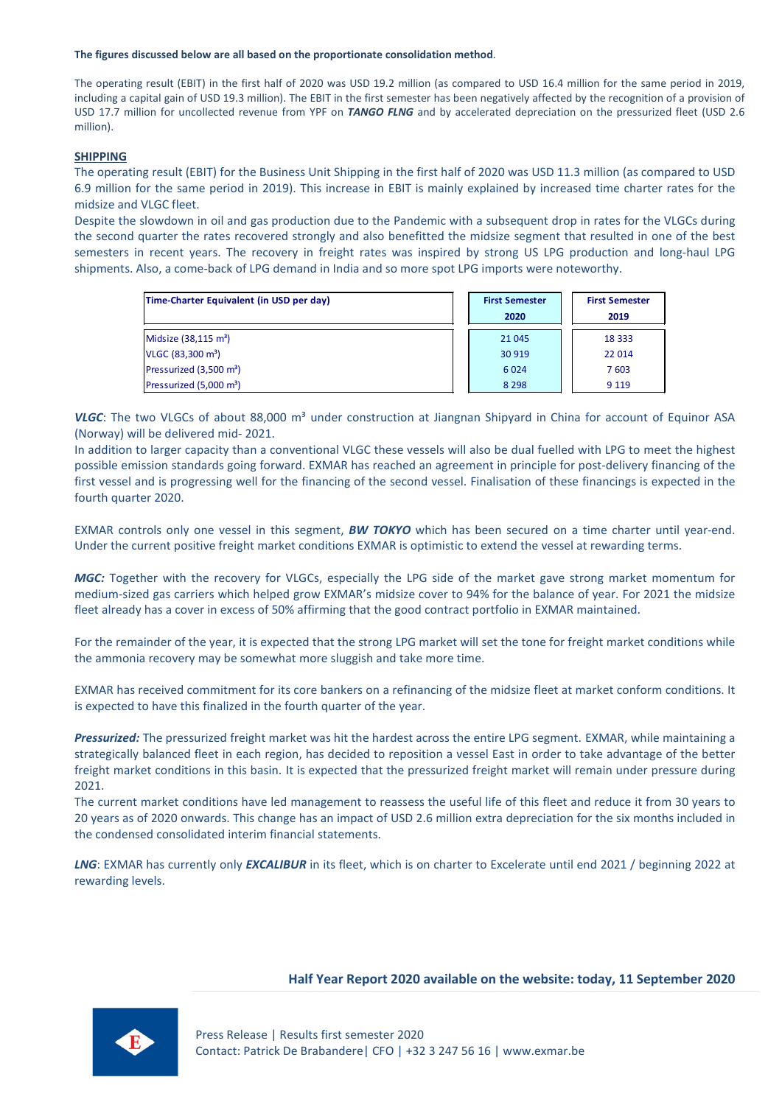#### **The figures discussed below are all based on the proportionate consolidation method**.

The operating result (EBIT) in the first half of 2020 was USD 19.2 million (as compared to USD 16.4 million for the same period in 2019, including a capital gain of USD 19.3 million). The EBIT in the first semester has been negatively affected by the recognition of a provision of USD 17.7 million for uncollected revenue from YPF on *TANGO FLNG* and by accelerated depreciation on the pressurized fleet (USD 2.6 million).

## **SHIPPING**

The operating result (EBIT) for the Business Unit Shipping in the first half of 2020 was USD 11.3 million (as compared to USD 6.9 million for the same period in 2019). This increase in EBIT is mainly explained by increased time charter rates for the midsize and VLGC fleet.

Despite the slowdown in oil and gas production due to the Pandemic with a subsequent drop in rates for the VLGCs during the second quarter the rates recovered strongly and also benefitted the midsize segment that resulted in one of the best semesters in recent years. The recovery in freight rates was inspired by strong US LPG production and long-haul LPG shipments. Also, a come-back of LPG demand in India and so more spot LPG imports were noteworthy.

| Time-Charter Equivalent (in USD per day) | <b>First Semester</b><br>2020 | <b>First Semester</b><br>2019 |
|------------------------------------------|-------------------------------|-------------------------------|
| Midsize (38,115 m <sup>3</sup> )         | 21 045                        | 18 3 33                       |
| VLGC (83,300 m <sup>3</sup> )            | 30 919                        | 22 014                        |
| Pressurized (3,500 m <sup>3</sup> )      | 6 0 2 4                       | 7 603                         |
| Pressurized (5,000 m <sup>3</sup> )      | 8 2 9 8                       | 9 1 1 9                       |

VLGC: The two VLGCs of about 88,000 m<sup>3</sup> under construction at Jiangnan Shipyard in China for account of Equinor ASA (Norway) will be delivered mid- 2021.

In addition to larger capacity than a conventional VLGC these vessels will also be dual fuelled with LPG to meet the highest possible emission standards going forward. EXMAR has reached an agreement in principle for post-delivery financing of the first vessel and is progressing well for the financing of the second vessel. Finalisation of these financings is expected in the fourth quarter 2020.

EXMAR controls only one vessel in this segment, *BW TOKYO* which has been secured on a time charter until year-end. Under the current positive freight market conditions EXMAR is optimistic to extend the vessel at rewarding terms.

*MGC:* Together with the recovery for VLGCs, especially the LPG side of the market gave strong market momentum for medium-sized gas carriers which helped grow EXMAR's midsize cover to 94% for the balance of year. For 2021 the midsize fleet already has a cover in excess of 50% affirming that the good contract portfolio in EXMAR maintained.

For the remainder of the year, it is expected that the strong LPG market will set the tone for freight market conditions while the ammonia recovery may be somewhat more sluggish and take more time.

EXMAR has received commitment for its core bankers on a refinancing of the midsize fleet at market conform conditions. It is expected to have this finalized in the fourth quarter of the year.

*Pressurized:* The pressurized freight market was hit the hardest across the entire LPG segment. EXMAR, while maintaining a strategically balanced fleet in each region, has decided to reposition a vessel East in order to take advantage of the better freight market conditions in this basin. It is expected that the pressurized freight market will remain under pressure during 2021.

The current market conditions have led management to reassess the useful life of this fleet and reduce it from 30 years to 20 years as of 2020 onwards. This change has an impact of USD 2.6 million extra depreciation for the six months included in the condensed consolidated interim financial statements.

*LNG*: EXMAR has currently only *EXCALIBUR* in its fleet, which is on charter to Excelerate until end 2021 / beginning 2022 at rewarding levels.

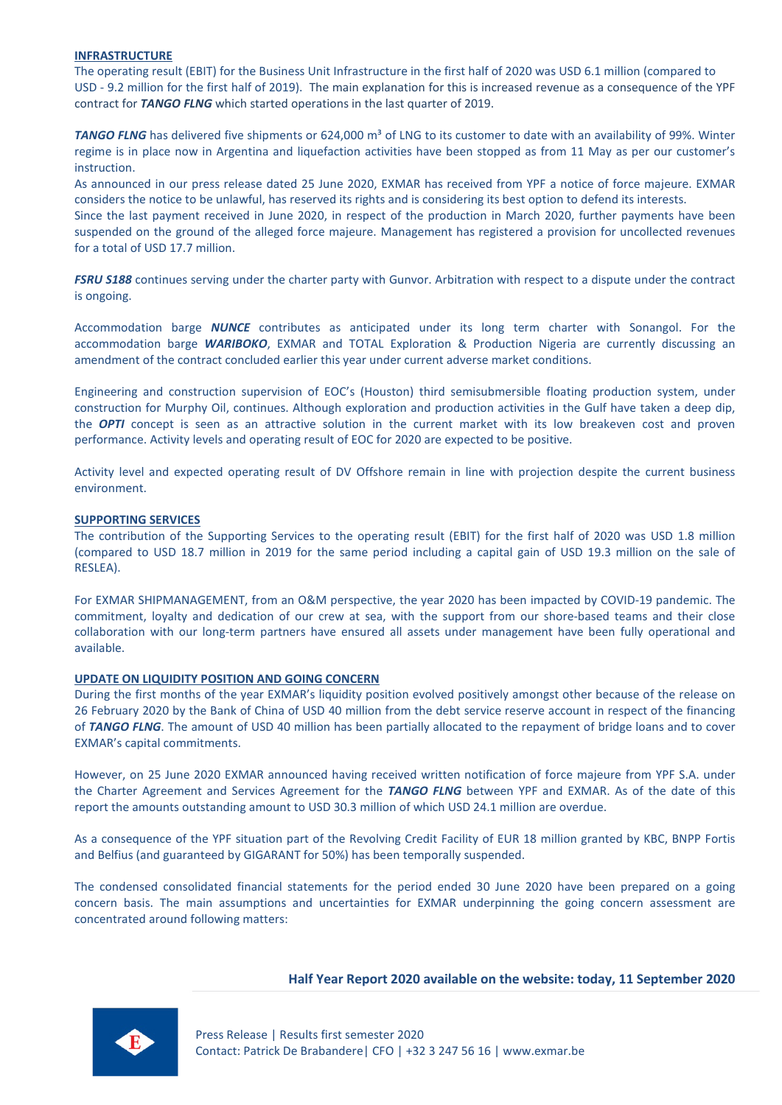#### **INFRASTRUCTURE**

The operating result (EBIT) for the Business Unit Infrastructure in the first half of 2020 was USD 6.1 million (compared to USD - 9.2 million for the first half of 2019). The main explanation for this is increased revenue as a consequence of the YPF contract for *TANGO FLNG* which started operations in the last quarter of 2019.

**TANGO FLNG** has delivered five shipments or 624,000 m<sup>3</sup> of LNG to its customer to date with an availability of 99%. Winter regime is in place now in Argentina and liquefaction activities have been stopped as from 11 May as per our customer's instruction.

As announced in our press release dated 25 June 2020, EXMAR has received from YPF a notice of force majeure. EXMAR considers the notice to be unlawful, has reserved its rights and is considering its best option to defend its interests.

Since the last payment received in June 2020, in respect of the production in March 2020, further payments have been suspended on the ground of the alleged force majeure. Management has registered a provision for uncollected revenues for a total of USD 17.7 million.

*FSRU S188* continues serving under the charter party with Gunvor. Arbitration with respect to a dispute under the contract is ongoing.

Accommodation barge *NUNCE* contributes as anticipated under its long term charter with Sonangol. For the accommodation barge *WARIBOKO*, EXMAR and TOTAL Exploration & Production Nigeria are currently discussing an amendment of the contract concluded earlier this year under current adverse market conditions.

Engineering and construction supervision of EOC's (Houston) third semisubmersible floating production system, under construction for Murphy Oil, continues. Although exploration and production activities in the Gulf have taken a deep dip, the *OPTI* concept is seen as an attractive solution in the current market with its low breakeven cost and proven performance. Activity levels and operating result of EOC for 2020 are expected to be positive.

Activity level and expected operating result of DV Offshore remain in line with projection despite the current business environment.

#### **SUPPORTING SERVICES**

The contribution of the Supporting Services to the operating result (EBIT) for the first half of 2020 was USD 1.8 million (compared to USD 18.7 million in 2019 for the same period including a capital gain of USD 19.3 million on the sale of RESLEA).

For EXMAR SHIPMANAGEMENT, from an O&M perspective, the year 2020 has been impacted by COVID-19 pandemic. The commitment, loyalty and dedication of our crew at sea, with the support from our shore-based teams and their close collaboration with our long-term partners have ensured all assets under management have been fully operational and available.

#### **UPDATE ON LIQUIDITY POSITION AND GOING CONCERN**

During the first months of the year EXMAR's liquidity position evolved positively amongst other because of the release on 26 February 2020 by the Bank of China of USD 40 million from the debt service reserve account in respect of the financing of *TANGO FLNG*. The amount of USD 40 million has been partially allocated to the repayment of bridge loans and to cover EXMAR's capital commitments.

However, on 25 June 2020 EXMAR announced having received written notification of force majeure from YPF S.A. under the Charter Agreement and Services Agreement for the *TANGO FLNG* between YPF and EXMAR. As of the date of this report the amounts outstanding amount to USD 30.3 million of which USD 24.1 million are overdue.

As a consequence of the YPF situation part of the Revolving Credit Facility of EUR 18 million granted by KBC, BNPP Fortis and Belfius (and guaranteed by GIGARANT for 50%) has been temporally suspended.

The condensed consolidated financial statements for the period ended 30 June 2020 have been prepared on a going concern basis. The main assumptions and uncertainties for EXMAR underpinning the going concern assessment are concentrated around following matters:

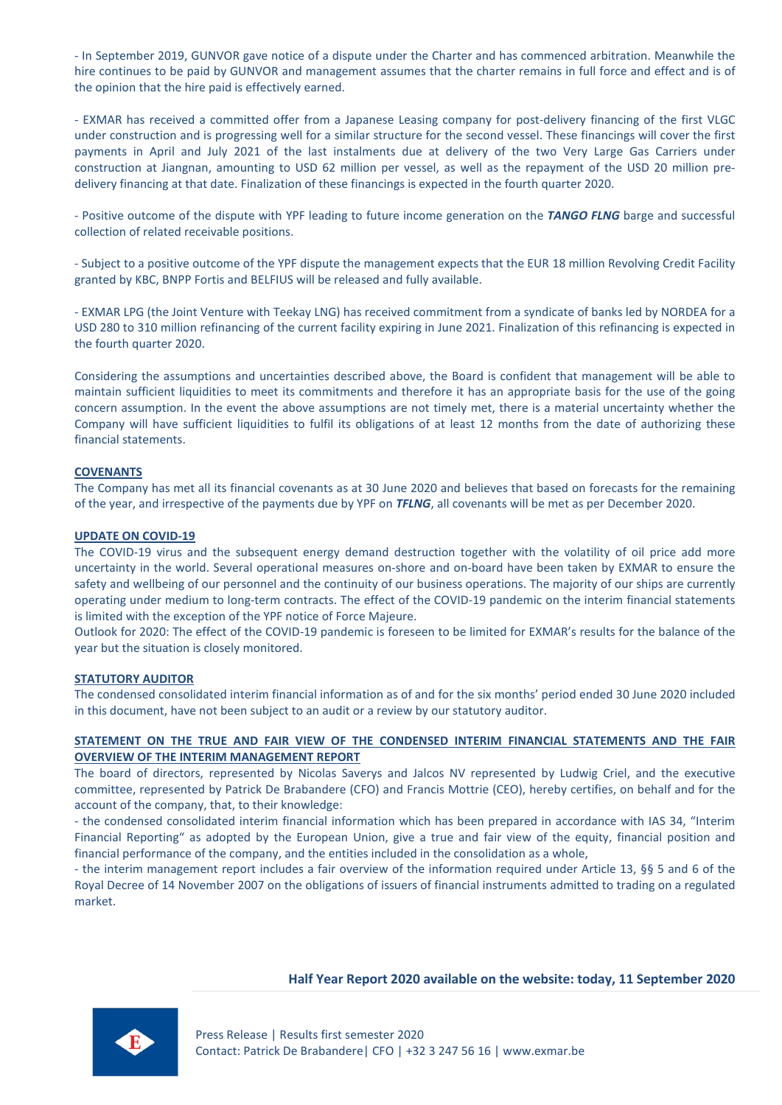- In September 2019, GUNVOR gave notice of a dispute under the Charter and has commenced arbitration. Meanwhile the hire continues to be paid by GUNVOR and management assumes that the charter remains in full force and effect and is of the opinion that the hire paid is effectively earned.

- EXMAR has received a committed offer from a Japanese Leasing company for post-delivery financing of the first VLGC under construction and is progressing well for a similar structure for the second vessel. These financings will cover the first payments in April and July 2021 of the last instalments due at delivery of the two Very Large Gas Carriers under construction at Jiangnan, amounting to USD 62 million per vessel, as well as the repayment of the USD 20 million predelivery financing at that date. Finalization of these financings is expected in the fourth quarter 2020.

- Positive outcome of the dispute with YPF leading to future income generation on the *TANGO FLNG* barge and successful collection of related receivable positions.

- Subject to a positive outcome of the YPF dispute the management expects that the EUR 18 million Revolving Credit Facility granted by KBC, BNPP Fortis and BELFIUS will be released and fully available.

- EXMAR LPG (the Joint Venture with Teekay LNG) has received commitment from a syndicate of banks led by NORDEA for a USD 280 to 310 million refinancing of the current facility expiring in June 2021. Finalization of this refinancing is expected in the fourth quarter 2020.

Considering the assumptions and uncertainties described above, the Board is confident that management will be able to maintain sufficient liquidities to meet its commitments and therefore it has an appropriate basis for the use of the going concern assumption. In the event the above assumptions are not timely met, there is a material uncertainty whether the Company will have sufficient liquidities to fulfil its obligations of at least 12 months from the date of authorizing these financial statements.

## **COVENANTS**

The Company has met all its financial covenants as at 30 June 2020 and believes that based on forecasts for the remaining of the year, and irrespective of the payments due by YPF on *TFLNG*, all covenants will be met as per December 2020.

#### **UPDATE ON COVID-19**

The COVID-19 virus and the subsequent energy demand destruction together with the volatility of oil price add more uncertainty in the world. Several operational measures on-shore and on-board have been taken by EXMAR to ensure the safety and wellbeing of our personnel and the continuity of our business operations. The majority of our ships are currently operating under medium to long-term contracts. The effect of the COVID-19 pandemic on the interim financial statements is limited with the exception of the YPF notice of Force Majeure.

Outlook for 2020: The effect of the COVID-19 pandemic is foreseen to be limited for EXMAR's results for the balance of the year but the situation is closely monitored.

#### **STATUTORY AUDITOR**

The condensed consolidated interim financial information as of and for the six months' period ended 30 June 2020 included in this document, have not been subject to an audit or a review by our statutory auditor.

## **STATEMENT ON THE TRUE AND FAIR VIEW OF THE CONDENSED INTERIM FINANCIAL STATEMENTS AND THE FAIR OVERVIEW OF THE INTERIM MANAGEMENT REPORT**

The board of directors, represented by Nicolas Saverys and Jalcos NV represented by Ludwig Criel, and the executive committee, represented by Patrick De Brabandere (CFO) and Francis Mottrie (CEO), hereby certifies, on behalf and for the account of the company, that, to their knowledge:

- the condensed consolidated interim financial information which has been prepared in accordance with IAS 34, "Interim Financial Reporting" as adopted by the European Union, give a true and fair view of the equity, financial position and financial performance of the company, and the entities included in the consolidation as a whole,

- the interim management report includes a fair overview of the information required under Article 13, §§ 5 and 6 of the Royal Decree of 14 November 2007 on the obligations of issuers of financial instruments admitted to trading on a regulated market.

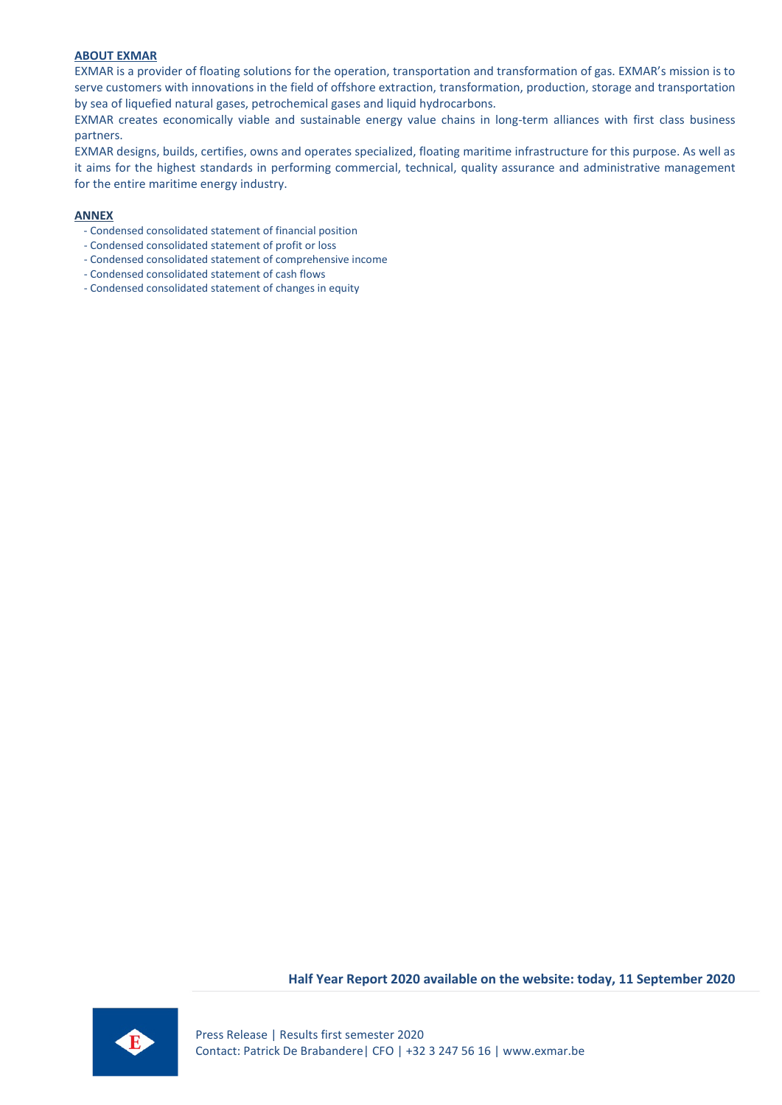## **ABOUT EXMAR**

EXMAR is a provider of floating solutions for the operation, transportation and transformation of gas. EXMAR's mission is to serve customers with innovations in the field of offshore extraction, transformation, production, storage and transportation by sea of liquefied natural gases, petrochemical gases and liquid hydrocarbons.

EXMAR creates economically viable and sustainable energy value chains in long-term alliances with first class business partners.

EXMAR designs, builds, certifies, owns and operates specialized, floating maritime infrastructure for this purpose. As well as it aims for the highest standards in performing commercial, technical, quality assurance and administrative management for the entire maritime energy industry.

#### **ANNEX**

- Condensed consolidated statement of financial position
- Condensed consolidated statement of profit or loss
- Condensed consolidated statement of comprehensive income
- Condensed consolidated statement of cash flows
- Condensed consolidated statement of changes in equity

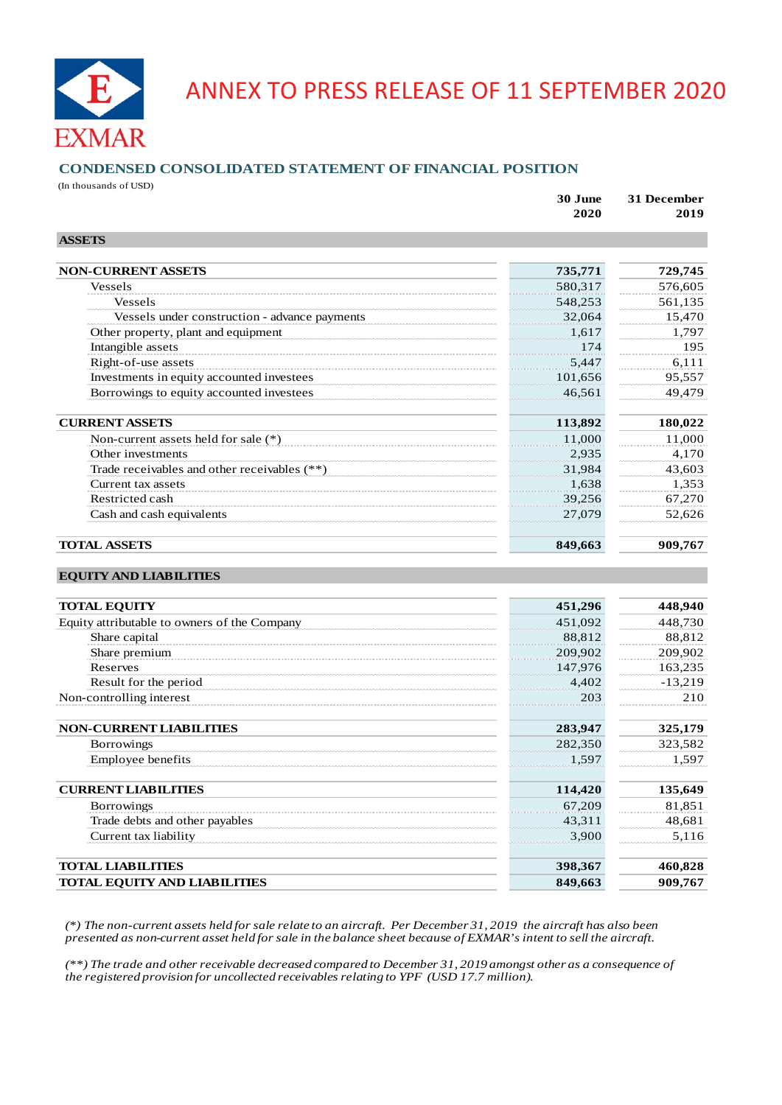

# ANNEX TO PRESS RELEASE OF 11 SEPTEMBER 2020

## **CONDENSED CONSOLIDATED STATEMENT OF FINANCIAL POSITION**

(In thousands of USD)

|                                               | 30 June<br>2020 | 31 December<br>2019 |  |
|-----------------------------------------------|-----------------|---------------------|--|
| <b>ASSETS</b>                                 |                 |                     |  |
| <b>NON-CURRENT ASSETS</b>                     | 735,771         | 729,745             |  |
| Vessels                                       | 580,317         | 576,605             |  |
| <b>Vessels</b>                                | 548,253         | 561,135             |  |
| Vessels under construction - advance payments | 32,064          | 15,470              |  |
| Other property, plant and equipment           | 1,617           | 1,797               |  |
| Intangible assets                             | 174             | 195                 |  |
| Right-of-use assets                           | 5,447           | 6,111               |  |
| Investments in equity accounted investees     | 101,656         | 95,557              |  |
| Borrowings to equity accounted investees      | 46,561          | 49,479              |  |
| <b>CURRENT ASSETS</b>                         | 113,892         | 180,022             |  |
| Non-current assets held for sale $(*)$        | 11,000          | 11,000              |  |
| Other investments                             | 2,935           | 4,170               |  |
| Trade receivables and other receivables (**)  | 31,984          | 43,603              |  |
| Current tax assets                            | 1,638           | 1,353               |  |
| Restricted cash                               | 39,256          | 67,270              |  |
| Cash and cash equivalents                     | 27,079          | 52,626              |  |
| <b>TOTAL ASSETS</b>                           | 849,663         | 909,767             |  |
| <b>EQUITY AND LIABILITIES</b>                 |                 |                     |  |
| <b>TOTAL EQUITY</b>                           | 451,296         | 448,940             |  |
| Equity attributable to owners of the Company  | 451,092         | 448,730             |  |
| Share capital                                 | 88,812          | 88,812              |  |
| Share premium                                 | 209,902         | 209,902             |  |
| Reserves                                      | 147,976         | 163,235             |  |
| Result for the period                         | 4,402           | $-13,219$           |  |
| Non-controlling interest                      | 203             | 210                 |  |
| <b>NON-CURRENT LIABILITIES</b>                | 283,947         | 325,179             |  |
| Borrowings                                    | 282,350         | 323,582             |  |
| Employee benefits                             | 1,597           | 1,597               |  |
| <b>CURRENT LIABILITIES</b>                    | 114,420         | 135,649             |  |
| Borrowings                                    | 67,209          | 81,851              |  |
| Trade debts and other payables                | 43,311          | 48,681              |  |
| Current tax liability                         | 3,900           | 5,116               |  |
| <b>TOTAL LIABILITIES</b>                      | 398,367         | 460,828             |  |
| <b>TOTAL EQUITY AND LIABILITIES</b>           | 849,663         | 909,767             |  |

*(\*) The non-current assets held for sale relate to an aircraft. Per December 31, 2019 the aircraft has also been presented as non-current asset held for sale in the balance sheet because of EXMAR's intent to sell the aircraft.*

*(\*\*) The trade and other receivable decreased compared to December 31, 2019 amongst other as a consequence of the registered provision for uncollected receivables relating to YPF (USD 17.7 million).*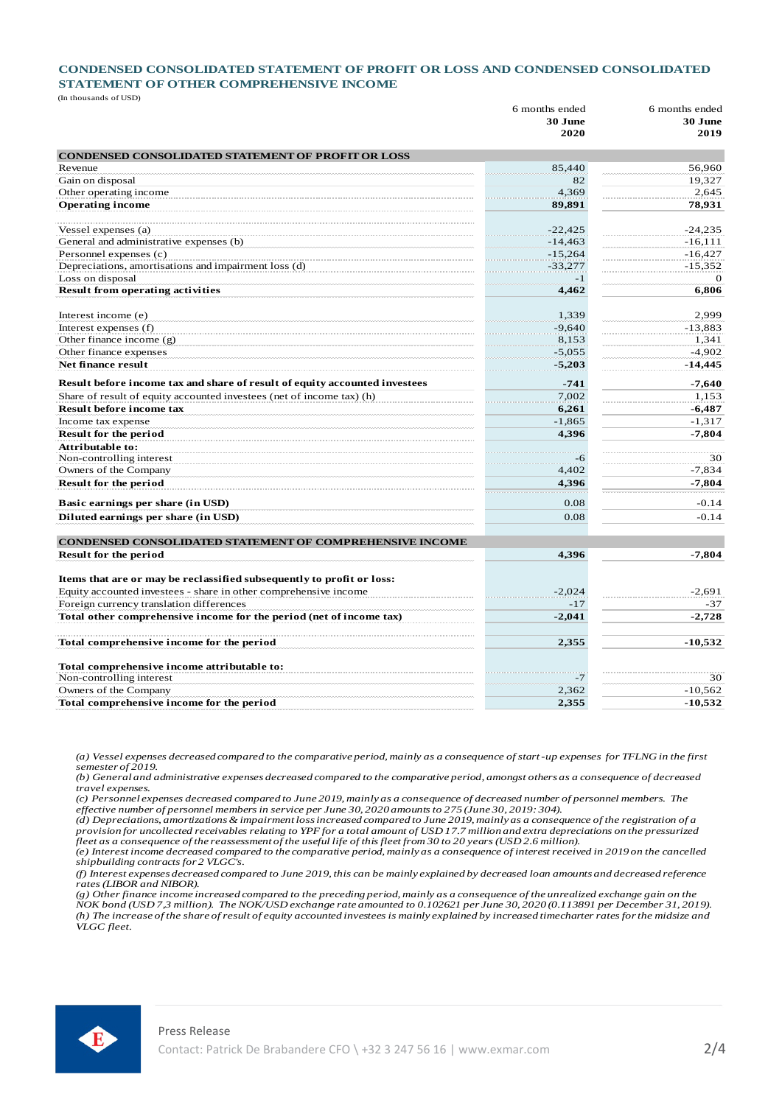## **CONDENSED CONSOLIDATED STATEMENT OF PROFIT OR LOSS AND CONDENSED CONSOLIDATED STATEMENT OF OTHER COMPREHENSIVE INCOME**

(In thousands of USD)

|                                                                            | 6 months ended | 6 months ended |
|----------------------------------------------------------------------------|----------------|----------------|
|                                                                            | 30 June        | 30 June        |
|                                                                            | 2020           | 2019           |
| <b>CONDENSED CONSOLIDATED STATEMENT OF PROFIT OR LOSS</b>                  |                |                |
| Revenue                                                                    | 85,440         | 56.960         |
| Gain on disposal                                                           | 82             | 19.327         |
| Other operating income                                                     | 4,369          | 2.645          |
| <b>Operating income</b>                                                    | 89,891         | 78,931         |
| Vessel expenses (a)                                                        | $-22,425$      | $-24,235$      |
| General and administrative expenses (b)                                    | $-14,463$      | $-16, 111$     |
| Personnel expenses (c)                                                     | $-15,264$      | $-16,427$      |
| Depreciations, amortisations and impairment loss (d)                       | $-33,277$      | $-15,352$      |
| Loss on disposal                                                           | $-1$           | $\Omega$       |
| <b>Result from operating activities</b>                                    | 4,462          | 6,806          |
| Interest income (e)                                                        | 1,339          | 2,999          |
| Interest expenses (f)                                                      | $-9,640$       | $-13,883$      |
| Other finance income $(g)$                                                 | 8,153          | 1,341          |
| Other finance expenses                                                     | $-5,055$       | $-4,902$       |
| Net finance result                                                         | $-5,203$       | $-14,445$      |
| Result before income tax and share of result of equity accounted investees | $-741$         | $-7.640$       |
| Share of result of equity accounted investees (net of income tax) (h)      | 7.002          | 1.153          |
| <b>Result before income tax</b>                                            | 6,261          | $-6,487$       |
| Income tax expense                                                         | $-1,865$       | $-1,317$       |
| <b>Result for the period</b>                                               | 4,396          | $-7,804$       |
| Attributable to:                                                           |                |                |
| Non-controlling interest                                                   | $-6$           | 30             |
| Owners of the Company                                                      | 4,402          | $-7,834$       |
| <b>Result for the period</b>                                               | 4,396          | $-7,804$       |
| Basic earnings per share (in USD)                                          | 0.08           | $-0.14$        |
| Diluted earnings per share (in USD)                                        | 0.08           | $-0.14$        |
| <b>CONDENSED CONSOLIDATED STATEMENT OF COMPREHENSIVE INCOME</b>            |                |                |
| <b>Result for the period</b>                                               | 4,396          | $-7,804$       |
| Items that are or may be reclassified subsequently to profit or loss:      |                |                |
| Equity accounted investees - share in other comprehensive income           | $-2,024$       | $-2,691$       |
| Foreign currency translation differences                                   | $-17$          | $-37$          |
| Total other comprehensive income for the period (net of income tax)        | $-2,041$       | $-2.728$       |
| Total comprehensive income for the period                                  | 2,355          | $-10,532$      |
|                                                                            |                |                |
| Total comprehensive income attributable to:                                |                |                |
| Non-controlling interest                                                   | $-7$           | 30             |
| Owners of the Company                                                      | 2,362          | $-10,562$      |
| Total comprehensive income for the period                                  | 2,355          | $-10,532$      |

*(a) Vessel expenses decreased compared to the comparative period, mainly as a consequence of start-up expenses for TFLNG in the first semester of 2019.* 

*(b) General and administrative expenses decreased compared to the comparative period, amongst others as a consequence of decreased travel expenses.* 

*(c) Personnel expenses decreased compared to June 2019, mainly as a consequence of decreased number of personnel members. The effective number of personnel members in service per June 30, 2020 amounts to 275 (June 30, 2019: 304).* 

*(d) Depreciations, amortizations & impairment loss increased compared to June 2019, mainly as a consequence of the registration of a provision for uncollected receivables relating to YPF for a total amount of USD 17.7 million and extra depreciations on the pressurized fleet as a consequence of the reassessment of the useful life of this fleet from 30 to 20 years (USD 2.6 million).* 

*(e) Interest income decreased compared to the comparative period, mainly as a consequence of interest received in 2019 on the cancelled shipbuilding contracts for 2 VLGC's.* 

*(f) Interest expenses decreased compared to June 2019, this can be mainly explained by decreased loan amounts and decreased reference rates (LIBOR and NIBOR).* 

*(g) Other finance income increased compared to the preceding period, mainly as a consequence of the unrealized exchange gain on the NOK bond (USD 7,3 million). The NOK/USD exchange rate amounted to 0.102621 per June 30, 2020 (0.113891 per December 31, 2019).*  (h) The increase of the share of result of equity accounted investees is mainly explained by increased timecharter rates for the midsize and *VLGC fleet.* 

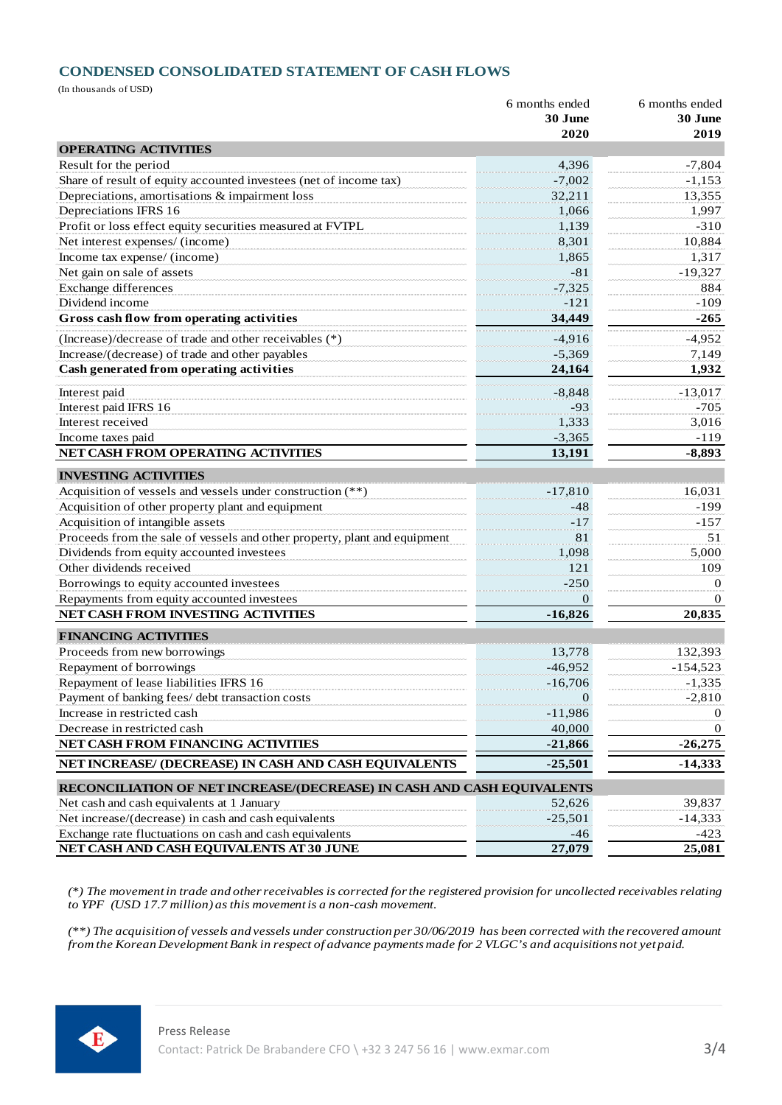## **CONDENSED CONSOLIDATED STATEMENT OF CASH FLOWS**

(In thousands of USD)

|                                                                                                                      | 6 months ended            | 6 months ended |  |
|----------------------------------------------------------------------------------------------------------------------|---------------------------|----------------|--|
|                                                                                                                      | 30 June                   | 30 June        |  |
|                                                                                                                      | 2020                      | 2019           |  |
| <b>OPERATING ACTIVITIES</b>                                                                                          |                           |                |  |
| Result for the period                                                                                                | 4,396                     | $-7,804$       |  |
| Share of result of equity accounted investees (net of income tax)                                                    | $-7,002$                  | $-1,153$       |  |
| Depreciations, amortisations & impairment loss                                                                       | 32,211                    | 13,355         |  |
| Depreciations IFRS 16                                                                                                | 1,066                     | 1,997          |  |
| Profit or loss effect equity securities measured at FVTPL                                                            | 1,139                     | $-310$         |  |
| Net interest expenses/ (income)                                                                                      | 8,301                     | 10,884         |  |
| Income tax expense/ (income)                                                                                         | 1.865                     | 1,317          |  |
| Net gain on sale of assets                                                                                           | $-81$                     | $-19,327$      |  |
| <b>Exchange differences</b>                                                                                          | $-7,325$                  | 884            |  |
| Dividend income                                                                                                      | $-121$                    | $-109$         |  |
| Gross cash flow from operating activities                                                                            | 34,449                    | $-265$         |  |
| (Increase)/decrease of trade and other receivables (*)                                                               | $-4,916$                  | $-4,952$       |  |
| Increase/(decrease) of trade and other payables                                                                      | $-5,369$                  | 7,149          |  |
| Cash generated from operating activities                                                                             | 24,164                    | 1,932          |  |
| Interest paid                                                                                                        | $-8,848$                  | $-13,017$      |  |
| Interest paid IFRS 16                                                                                                | $-93$                     | $-705$         |  |
| Interest received                                                                                                    | 1,333                     | 3.016          |  |
| Income taxes paid                                                                                                    | $-3,365$                  | $-119$         |  |
| NET CASH FROM OPERATING ACTIVITIES                                                                                   | 13,191                    | $-8,893$       |  |
| <b>INVESTING ACTIVITIES</b>                                                                                          |                           |                |  |
| Acquisition of vessels and vessels under construction (**)                                                           | $-17,810$                 | 16,031         |  |
| Acquisition of other property plant and equipment                                                                    | $-48$                     | $-199$         |  |
| Acquisition of intangible assets                                                                                     | $-17$                     | $-157$         |  |
| Proceeds from the sale of vessels and other property, plant and equipment                                            | 81                        | 51             |  |
| Dividends from equity accounted investees                                                                            | 1,098                     | 5,000          |  |
| Other dividends received                                                                                             | 121                       | 109            |  |
| Borrowings to equity accounted investees                                                                             | $-250$                    | 0              |  |
| Repayments from equity accounted investees                                                                           | 0                         | $\Omega$       |  |
| NET CASH FROM INVESTING ACTIVITIES                                                                                   | $-16,826$                 | 20,835         |  |
| <b>FINANCING ACTIVITIES</b>                                                                                          |                           |                |  |
| Proceeds from new borrowings                                                                                         | 13,778                    | 132,393        |  |
| Repayment of borrowings                                                                                              | $-46,952$                 | $-154,523$     |  |
| Repayment of lease liabilities IFRS 16                                                                               |                           | $-1,335$       |  |
| Payment of banking fees/ debt transaction costs                                                                      | $-16,706$<br>$\mathbf{0}$ | $-2,810$       |  |
| Increase in restricted cash                                                                                          | $-11,986$                 | $\theta$       |  |
| Decrease in restricted cash                                                                                          | 40,000                    | $\theta$       |  |
| NET CASH FROM FINANCING ACTIVITIES                                                                                   | $-21,866$                 | $-26,275$      |  |
| NET INCREASE/ (DECREASE) IN CASH AND CASH EQUIVALENTS                                                                | $-25,501$                 | $-14,333$      |  |
|                                                                                                                      |                           |                |  |
| RECONCILIATION OF NET INCREASE/(DECREASE) IN CASH AND CASH EQUIVALENTS<br>Net cash and cash equivalents at 1 January | 52,626                    | 39,837         |  |
| Net increase/(decrease) in cash and cash equivalents                                                                 | $-25,501$                 | $-14,333$      |  |
| Exchange rate fluctuations on cash and cash equivalents                                                              | $-46$                     | $-423$         |  |
| NET CASH AND CASH EQUIVALENTS AT 30 JUNE                                                                             | 27,079                    | 25,081         |  |
|                                                                                                                      |                           |                |  |

*(\*) The movement in trade and other receivables is corrected for the registered provision for uncollected receivables relating to YPF (USD 17.7 million) as this movement is a non-cash movement.* 

*(\*\*) The acquisition of vessels and vessels under construction per 30/06/2019 has been corrected with the recovered amount from the Korean Development Bank in respect of advance payments made for 2 VLGC's and acquisitions not yet paid.*